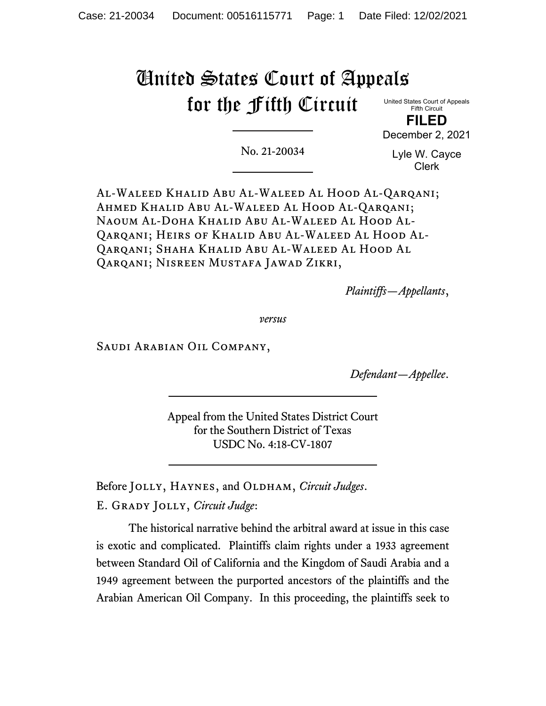# United States Court of Appeals for the Fifth Circuit

United States Court of Appeals Fifth Circuit **FILED**

December 2, 2021

No. 21-20034

Lyle W. Cayce Clerk

Al-Waleed Khalid Abu Al-Waleed Al Hood Al-Qarqani; Ahmed Khalid Abu Al-Waleed Al Hood Al-Qarqani; Naoum Al-Doha Khalid Abu Al-Waleed Al Hood Al-Qarqani; Heirs of Khalid Abu Al-Waleed Al Hood Al-Qarqani; Shaha Khalid Abu Al-Waleed Al Hood Al Qarqani; Nisreen Mustafa Jawad Zikri,

*Plaintiffs—Appellants*,

*versus*

Saudi Arabian Oil Company,

*Defendant—Appellee*.

Appeal from the United States District Court for the Southern District of Texas USDC No. 4:18-CV-1807

Before JOLLY, HAYNES, and OLDHAM, *Circuit Judges*.

E. Grady Jolly, *Circuit Judge*:

The historical narrative behind the arbitral award at issue in this case is exotic and complicated. Plaintiffs claim rights under a 1933 agreement between Standard Oil of California and the Kingdom of Saudi Arabia and a 1949 agreement between the purported ancestors of the plaintiffs and the Arabian American Oil Company. In this proceeding, the plaintiffs seek to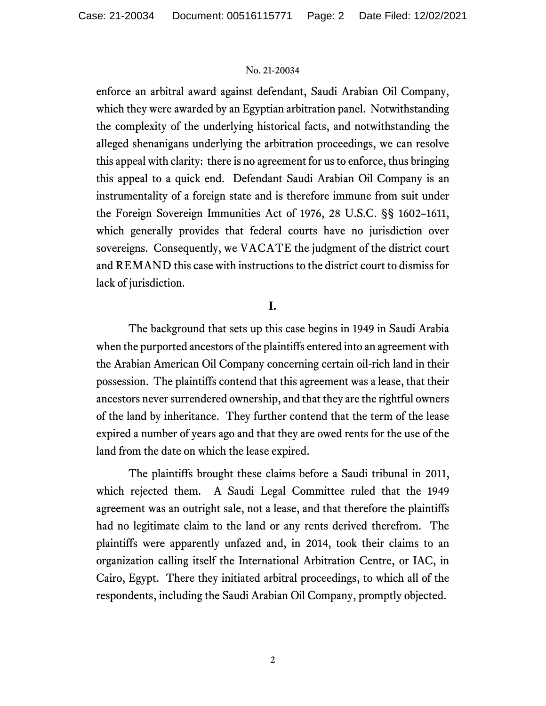enforce an arbitral award against defendant, Saudi Arabian Oil Company, which they were awarded by an Egyptian arbitration panel. Notwithstanding the complexity of the underlying historical facts, and notwithstanding the alleged shenanigans underlying the arbitration proceedings, we can resolve this appeal with clarity: there is no agreement for us to enforce, thus bringing this appeal to a quick end. Defendant Saudi Arabian Oil Company is an instrumentality of a foreign state and is therefore immune from suit under the Foreign Sovereign Immunities Act of 1976, 28 U.S.C. §§ 1602–1611, which generally provides that federal courts have no jurisdiction over sovereigns. Consequently, we VACATE the judgment of the district court and REMAND this case with instructions to the district court to dismiss for lack of jurisdiction.

# **I.**

The background that sets up this case begins in 1949 in Saudi Arabia when the purported ancestors of the plaintiffs entered into an agreement with the Arabian American Oil Company concerning certain oil-rich land in their possession. The plaintiffs contend that this agreement was a lease, that their ancestors never surrendered ownership, and that they are the rightful owners of the land by inheritance. They further contend that the term of the lease expired a number of years ago and that they are owed rents for the use of the land from the date on which the lease expired.

The plaintiffs brought these claims before a Saudi tribunal in 2011, which rejected them. A Saudi Legal Committee ruled that the 1949 agreement was an outright sale, not a lease, and that therefore the plaintiffs had no legitimate claim to the land or any rents derived therefrom. The plaintiffs were apparently unfazed and, in 2014, took their claims to an organization calling itself the International Arbitration Centre, or IAC, in Cairo, Egypt. There they initiated arbitral proceedings, to which all of the respondents, including the Saudi Arabian Oil Company, promptly objected.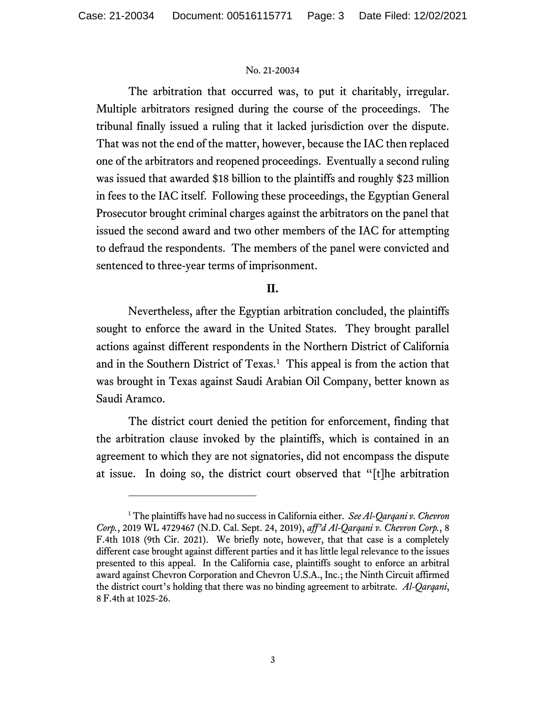The arbitration that occurred was, to put it charitably, irregular. Multiple arbitrators resigned during the course of the proceedings. The tribunal finally issued a ruling that it lacked jurisdiction over the dispute. That was not the end of the matter, however, because the IAC then replaced one of the arbitrators and reopened proceedings. Eventually a second ruling was issued that awarded \$18 billion to the plaintiffs and roughly \$23 million in fees to the IAC itself. Following these proceedings, the Egyptian General Prosecutor brought criminal charges against the arbitrators on the panel that issued the second award and two other members of the IAC for attempting to defraud the respondents. The members of the panel were convicted and sentenced to three-year terms of imprisonment.

# **II.**

Nevertheless, after the Egyptian arbitration concluded, the plaintiffs sought to enforce the award in the United States. They brought parallel actions against different respondents in the Northern District of California and in the Southern District of Texas.<sup>[1](#page-2-0)</sup> This appeal is from the action that was brought in Texas against Saudi Arabian Oil Company, better known as Saudi Aramco.

The district court denied the petition for enforcement, finding that the arbitration clause invoked by the plaintiffs, which is contained in an agreement to which they are not signatories, did not encompass the dispute at issue. In doing so, the district court observed that "[t]he arbitration

<span id="page-2-0"></span><sup>1</sup> The plaintiffs have had no success in California either. *See Al-Qarqani v. Chevron Corp.*, 2019 WL 4729467 (N.D. Cal. Sept. 24, 2019), *aff'd Al-Qarqani v. Chevron Corp.*, 8 F.4th 1018 (9th Cir. 2021). We briefly note, however, that that case is a completely different case brought against different parties and it has little legal relevance to the issues presented to this appeal. In the California case, plaintiffs sought to enforce an arbitral award against Chevron Corporation and Chevron U.S.A., Inc.; the Ninth Circuit affirmed the district court's holding that there was no binding agreement to arbitrate. *Al-Qarqani*, 8 F.4th at 1025-26.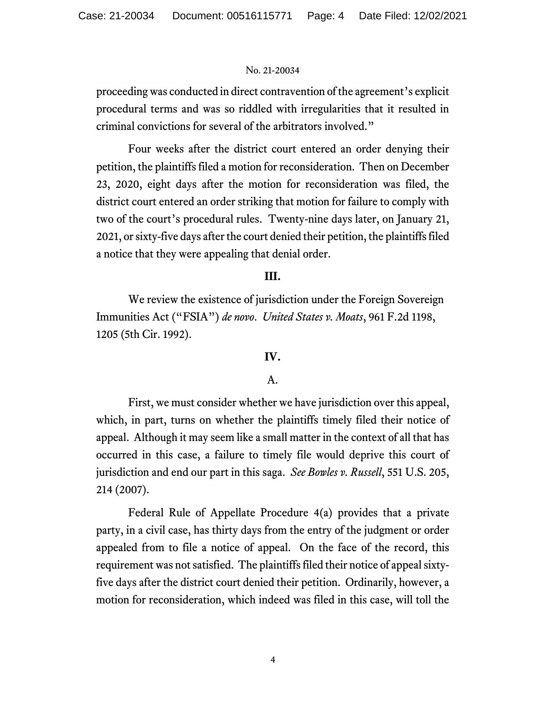proceeding was conducted in direct contravention of the agreement's explicit procedural terms and was so riddled with irregularities that it resulted in criminal convictions for several of the arbitrators involved."

Four weeks after the district court entered an order denying their petition, the plaintiffs filed a motion for reconsideration. Then on December 23, 2020, eight days after the motion for reconsideration was filed, the district court entered an order striking that motion for failure to comply with two of the court's procedural rules. Twenty-nine days later, on January 21, 2021, or sixty-five days after the court denied their petition, the plaintiffs filed a notice that they were appealing that denial order.

# **III.**

We review the existence of jurisdiction under the Foreign Sovereign Immunities Act ("FSIA") *de novo*. *United States v. Moats*, 961 F.2d 1198, 1205 (5th Cir. 1992).

# **IV.**

## A.

First, we must consider whether we have jurisdiction over this appeal, which, in part, turns on whether the plaintiffs timely filed their notice of appeal. Although it may seem like a small matter in the context of all that has occurred in this case, a failure to timely file would deprive this court of jurisdiction and end our part in this saga. *See Bowles v. Russell*, 551 U.S. 205, 214 (2007).

Federal Rule of Appellate Procedure 4(a) provides that a private party, in a civil case, has thirty days from the entry of the judgment or order appealed from to file a notice of appeal. On the face of the record, this requirement was not satisfied. The plaintiffs filed their notice of appeal sixtyfive days after the district court denied their petition. Ordinarily, however, a motion for reconsideration, which indeed was filed in this case, will toll the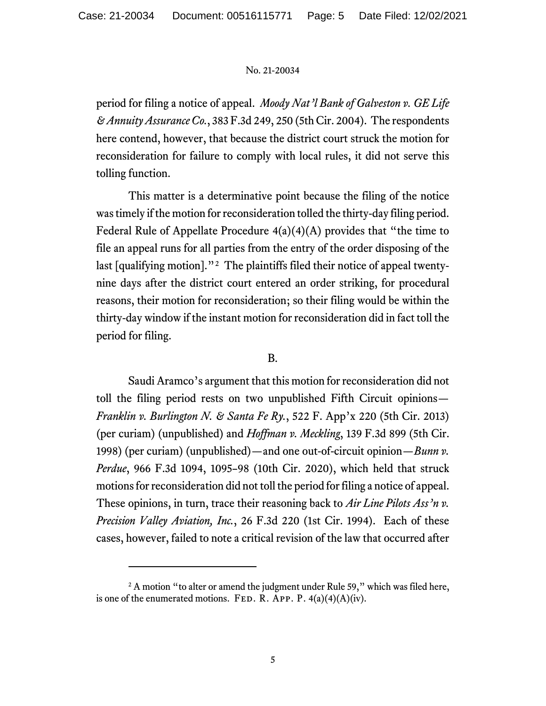period for filing a notice of appeal. *Moody Nat'l Bank of Galveston v. GE Life & Annuity AssuranceCo.*, 383 F.3d 249, 250 (5th Cir. 2004). The respondents here contend, however, that because the district court struck the motion for reconsideration for failure to comply with local rules, it did not serve this tolling function.

This matter is a determinative point because the filing of the notice wastimely if the motion for reconsideration tolled the thirty-day filing period. Federal Rule of Appellate Procedure  $4(a)(4)(A)$  provides that "the time to file an appeal runs for all parties from the entry of the order disposing of the last [qualifying motion]."[2](#page-4-0) The plaintiffs filed their notice of appeal twentynine days after the district court entered an order striking, for procedural reasons, their motion for reconsideration; so their filing would be within the thirty-day window if the instant motion for reconsideration did in fact toll the period for filing.

## B.

Saudi Aramco's argument that this motion for reconsideration did not toll the filing period rests on two unpublished Fifth Circuit opinions— *Franklin v. Burlington N. & Santa Fe Ry.*, 522 F. App'x 220 (5th Cir. 2013) (per curiam) (unpublished) and *Hoffman v. Meckling*, 139 F.3d 899 (5th Cir. 1998) (per curiam) (unpublished)—and one out-of-circuit opinion—*Bunn v. Perdue*, 966 F.3d 1094, 1095–98 (10th Cir. 2020), which held that struck motions for reconsideration did not toll the period for filing a notice of appeal. These opinions, in turn, trace their reasoning back to *Air Line Pilots Ass'n v. Precision Valley Aviation, Inc.*, 26 F.3d 220 (1st Cir. 1994). Each of these cases, however, failed to note a critical revision of the law that occurred after

<span id="page-4-0"></span><sup>&</sup>lt;sup>2</sup> A motion "to alter or amend the judgment under Rule 59," which was filed here, is one of the enumerated motions. FED. R. APP. P.  $4(a)(4)(A)(iv)$ .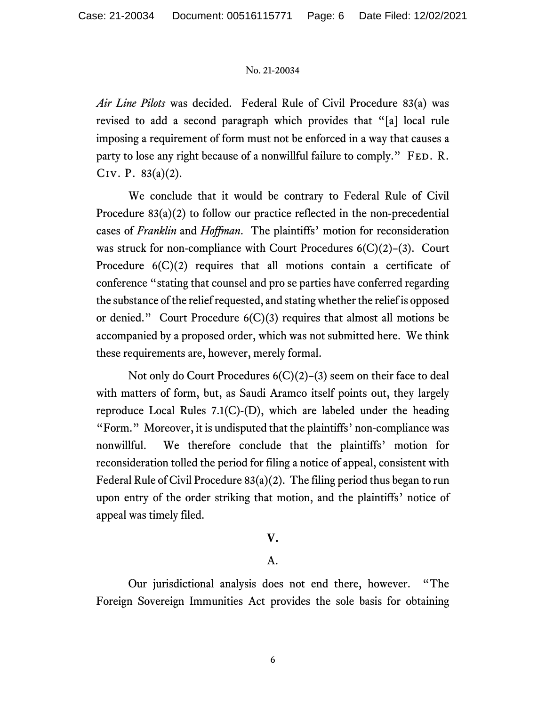*Air Line Pilots* was decided. Federal Rule of Civil Procedure 83(a) was revised to add a second paragraph which provides that "[a] local rule imposing a requirement of form must not be enforced in a way that causes a party to lose any right because of a nonwillful failure to comply." FED. R. Civ. P. 83(a)(2).

We conclude that it would be contrary to Federal Rule of Civil Procedure 83(a)(2) to follow our practice reflected in the non-precedential cases of *Franklin* and *Hoffman*. The plaintiffs' motion for reconsideration was struck for non-compliance with Court Procedures  $6(C)(2)$ –(3). Court Procedure  $6(C)(2)$  requires that all motions contain a certificate of conference "stating that counsel and pro se parties have conferred regarding the substance of the relief requested, and stating whether the relief is opposed or denied." Court Procedure 6(C)(3) requires that almost all motions be accompanied by a proposed order, which was not submitted here. We think these requirements are, however, merely formal.

Not only do Court Procedures 6(C)(2)–(3) seem on their face to deal with matters of form, but, as Saudi Aramco itself points out, they largely reproduce Local Rules 7.1(C)-(D), which are labeled under the heading "Form." Moreover, it is undisputed that the plaintiffs' non-compliance was nonwillful. We therefore conclude that the plaintiffs' motion for reconsideration tolled the period for filing a notice of appeal, consistent with Federal Rule of Civil Procedure 83(a)(2). The filing period thus began to run upon entry of the order striking that motion, and the plaintiffs' notice of appeal was timely filed.

## **V.**

## A.

Our jurisdictional analysis does not end there, however. "The Foreign Sovereign Immunities Act provides the sole basis for obtaining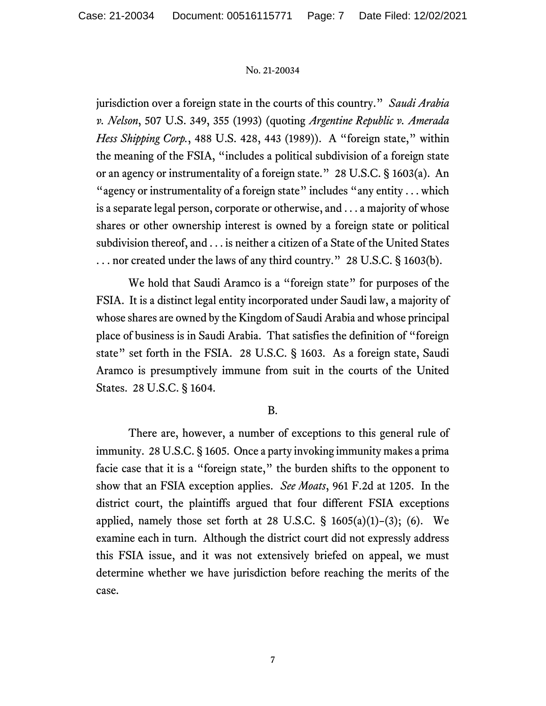jurisdiction over a foreign state in the courts of this country." *Saudi Arabia v. Nelson*, 507 U.S. 349, 355 (1993) (quoting *Argentine Republic v. Amerada Hess Shipping Corp.*, 488 U.S. 428, 443 (1989)). A "foreign state," within the meaning of the FSIA, "includes a political subdivision of a foreign state or an agency or instrumentality of a foreign state." 28 U.S.C. § 1603(a). An "agency or instrumentality of a foreign state" includes "any entity  $\dots$  which is a separate legal person, corporate or otherwise, and . . . a majority of whose shares or other ownership interest is owned by a foreign state or political subdivision thereof, and . . . is neither a citizen of a State of the United States ... nor created under the laws of any third country." 28 U.S.C. § 1603(b).

We hold that Saudi Aramco is a "foreign state" for purposes of the FSIA. It is a distinct legal entity incorporated under Saudi law, a majority of whose shares are owned by the Kingdom of Saudi Arabia and whose principal place of business is in Saudi Arabia. That satisfies the definition of "foreign state" set forth in the FSIA. 28 U.S.C. § 1603. As a foreign state, Saudi Aramco is presumptively immune from suit in the courts of the United States. 28 U.S.C. § 1604.

## B.

There are, however, a number of exceptions to this general rule of immunity. 28 U.S.C. § 1605. Once a party invoking immunity makes a prima facie case that it is a "foreign state," the burden shifts to the opponent to show that an FSIA exception applies. *See Moats*, 961 F.2d at 1205. In the district court, the plaintiffs argued that four different FSIA exceptions applied, namely those set forth at 28 U.S.C.  $\S$  1605(a)(1)–(3); (6). We examine each in turn. Although the district court did not expressly address this FSIA issue, and it was not extensively briefed on appeal, we must determine whether we have jurisdiction before reaching the merits of the case.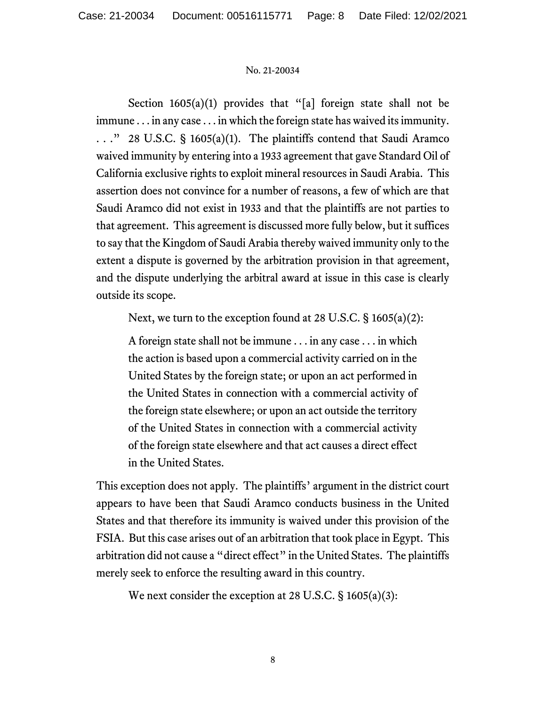Section  $1605(a)(1)$  provides that "[a] foreign state shall not be immune . . . in any case . . . in which the foreign state has waived its immunity. . . ." 28 U.S.C. § 1605(a)(1). The plaintiffs contend that Saudi Aramco waived immunity by entering into a 1933 agreement that gave Standard Oil of California exclusive rights to exploit mineral resources in Saudi Arabia. This assertion does not convince for a number of reasons, a few of which are that Saudi Aramco did not exist in 1933 and that the plaintiffs are not parties to that agreement. This agreement is discussed more fully below, but it suffices to say that the Kingdom of Saudi Arabia thereby waived immunity only to the extent a dispute is governed by the arbitration provision in that agreement, and the dispute underlying the arbitral award at issue in this case is clearly outside its scope.

Next, we turn to the exception found at 28 U.S.C. § 1605(a)(2):

A foreign state shall not be immune . . . in any case . . . in which the action is based upon a commercial activity carried on in the United States by the foreign state; or upon an act performed in the United States in connection with a commercial activity of the foreign state elsewhere; or upon an act outside the territory of the United States in connection with a commercial activity of the foreign state elsewhere and that act causes a direct effect in the United States.

This exception does not apply. The plaintiffs' argument in the district court appears to have been that Saudi Aramco conducts business in the United States and that therefore its immunity is waived under this provision of the FSIA. But this case arises out of an arbitration that took place in Egypt. This arbitration did not cause a "direct effect" in the United States. The plaintiffs merely seek to enforce the resulting award in this country.

We next consider the exception at 28 U.S.C. § 1605(a)(3):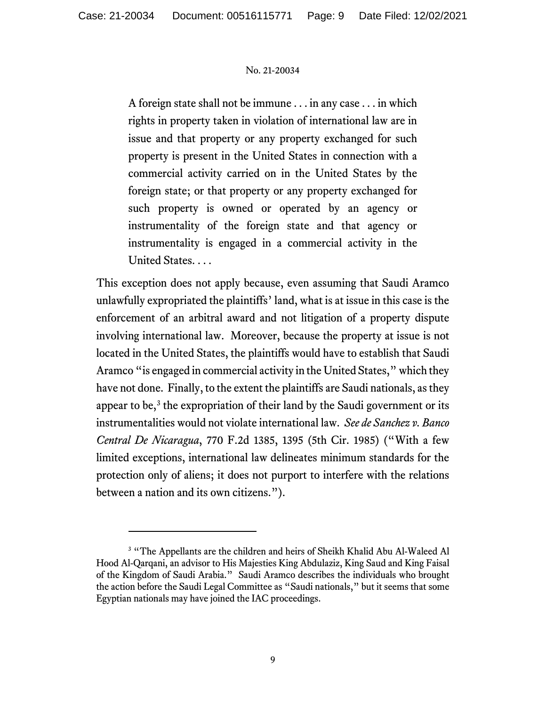A foreign state shall not be immune . . . in any case . . . in which rights in property taken in violation of international law are in issue and that property or any property exchanged for such property is present in the United States in connection with a commercial activity carried on in the United States by the foreign state; or that property or any property exchanged for such property is owned or operated by an agency or instrumentality of the foreign state and that agency or instrumentality is engaged in a commercial activity in the United States. . . .

This exception does not apply because, even assuming that Saudi Aramco unlawfully expropriated the plaintiffs' land, what is at issue in this case is the enforcement of an arbitral award and not litigation of a property dispute involving international law. Moreover, because the property at issue is not located in the United States, the plaintiffs would have to establish that Saudi Aramco "is engaged in commercial activity in the United States," which they have not done. Finally, to the extent the plaintiffs are Saudi nationals, as they appear to be, $3$  the expropriation of their land by the Saudi government or its instrumentalities would not violate international law. *See de Sanchez v. Banco Central De Nicaragua*, 770 F.2d 1385, 1395 (5th Cir. 1985) ("With a few limited exceptions, international law delineates minimum standards for the protection only of aliens; it does not purport to interfere with the relations between a nation and its own citizens.").

<span id="page-8-0"></span><sup>&</sup>lt;sup>3</sup> "The Appellants are the children and heirs of Sheikh Khalid Abu Al-Waleed Al Hood Al-Qarqani, an advisor to His Majesties King Abdulaziz, King Saud and King Faisal of the Kingdom of Saudi Arabia." Saudi Aramco describes the individuals who brought the action before the Saudi Legal Committee as "Saudi nationals," but it seems that some Egyptian nationals may have joined the IAC proceedings.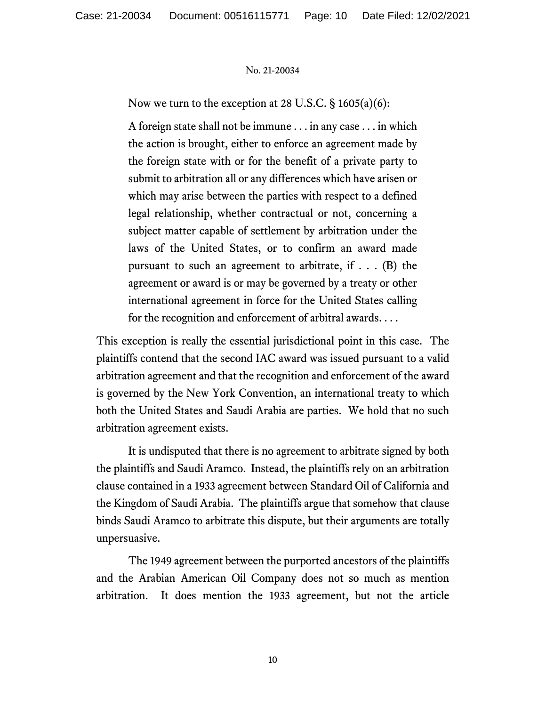Now we turn to the exception at 28 U.S.C.  $\S$  1605(a)(6):

A foreign state shall not be immune . . . in any case . . . in which the action is brought, either to enforce an agreement made by the foreign state with or for the benefit of a private party to submit to arbitration all or any differences which have arisen or which may arise between the parties with respect to a defined legal relationship, whether contractual or not, concerning a subject matter capable of settlement by arbitration under the laws of the United States, or to confirm an award made pursuant to such an agreement to arbitrate, if  $\ldots$  (B) the agreement or award is or may be governed by a treaty or other international agreement in force for the United States calling for the recognition and enforcement of arbitral awards. . . .

This exception is really the essential jurisdictional point in this case. The plaintiffs contend that the second IAC award was issued pursuant to a valid arbitration agreement and that the recognition and enforcement of the award is governed by the New York Convention, an international treaty to which both the United States and Saudi Arabia are parties. We hold that no such arbitration agreement exists.

It is undisputed that there is no agreement to arbitrate signed by both the plaintiffs and Saudi Aramco. Instead, the plaintiffs rely on an arbitration clause contained in a 1933 agreement between Standard Oil of California and the Kingdom of Saudi Arabia. The plaintiffs argue that somehow that clause binds Saudi Aramco to arbitrate this dispute, but their arguments are totally unpersuasive.

The 1949 agreement between the purported ancestors of the plaintiffs and the Arabian American Oil Company does not so much as mention arbitration. It does mention the 1933 agreement, but not the article